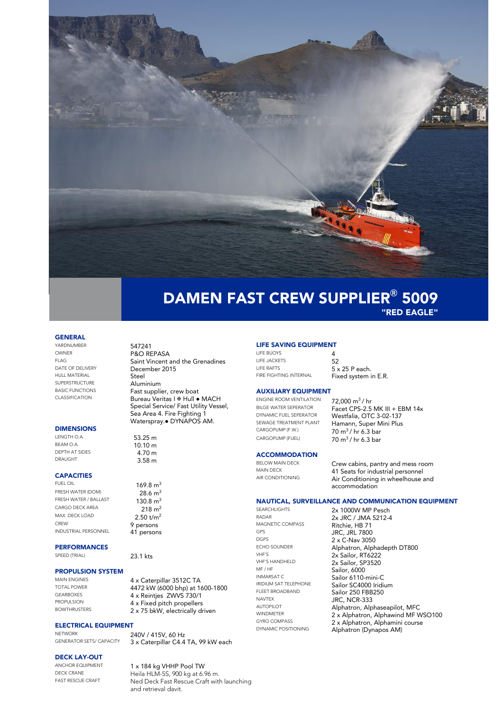

### DAMEN FAST CREW SUPPLIER**®** 5009 "RED EAGLE"

#### GENERAL

YARDNUMBER 547241 OWNER P&O REPASA HULL MATERIAL<br>SUPERSTRUCTURE SUPERSTRUCTURE Aluminium

#### DIMENSIONS

LENGTH O.A.  $53.25 \text{ m}$ <br>BEAM O.A.  $10.10 \text{ m}$ BEAM O.A.  $10.10 \text{ m}$ <br>DEPTH AT SIDES  $4.70 \text{ m}$ DEPTH AT SIDES 4.70 m<br>DRAUGHT 3 F 9 m

### **CAPACITIES**<br>FUEL OIL

FRESH WATER (DOM) 28.6 m<sup>3</sup><br>FRESH WATER / BALLAST 130.8 m<sup>3</sup> FRESH WATER / BALLAST CARGO DECK AREA 218 m<sup>2</sup> MAX. DECK LOAD  $2.50 \text{ t/m}^2$ <br>CREW **9 persons** INDUSTRIAL PERSONNEL

## **PERFORMANCES**<br>SPEED (TRIAL)

# **PROPULSION SYSTEM**

### **ELECTRICAL EQUIPMENT**

NETWORK 240V / 415V, 60 Hz<br>GENERATOR SETS/ CAPACITY 3 x Caternillar C44

#### DECK LAY-OUT

FLAG Saint Vincent and the Grenadines<br>
December 2015 December 2015<br>Steel BASIC FUNCTIONS<br>CLASSIFICATION **Fast supplier, crew boat** Bureau Veritas I Hull ● MACH Special Service/ Fast Utility Vessel, Sea Area 4. Fire Fighting 1

Waterspray.● DYNAPOS AM.

 $3.58$  m

 $169.8 m<sup>3</sup>$ <br>28.6 m<sup>3</sup> 9 persons<br>41 persons

23.1 kts

MAIN ENGINES 4 x Caterpillar 3512C TA TOTAL POWER  $\begin{array}{ccc} 4472 \text{ kW} \\ 4472 \text{ kW} \\ 4 \times \text{ Point} \\ 4 \times \text{ Point} \\ \end{array}$  7MM/S 730/1 GEARBOXES 4 x Reintjes ZWVS 730/1<br>PROPULSION 4 x Fixed pitch propellers PROPULSION  $4 \times$  Fixed pitch propellers<br>BOWTHRUSTERS  $2 \times 75$  bkW electrically dr 2 x 75 bkW, electrically driven

3 x Caterpillar C4.4 TA, 99 kW each

### LIFE SAVING EQUIPMENT

LIFE BUOYS 4 LIFE JACKETS<br>
LIFE RAFTS
5 LIFE RAFTS 5 x 25 P each.<br>FIRE FIGHTING INTERNAL Fixed system i

Fixed system in E.R.

#### AUXILIARY EQUIPMENT

ENGINE ROOM VENTILATION  $\frac{72,000 \text{ m}^3}{h}$  hr<br>BILGE WATER SEPERATOR Facet CPS-2.5 BILGE WATER SEPERATOR<br>
Facet CPS-2.5 MK III + EBM 14x<br>
DYNAMIC FUEL SEPERATOR

Meetfalia OTC 3.02.137 CARGOPUMP (F.W.)  $70 \text{ m}^3/\text{ hr} 6.3 \text{ bar}$ <br>CARGOPUMP (FUEL)  $70 \text{ m}^3/\text{ hr} 6.3 \text{ bar}$ 

DYNAMIC FUEL SEPERATOR Westfalia, OTC 3-02-137 SEWAGE TREATMENT PLANT Hamann, Super Mini Plus<br>CARGOPUMP (F.W.)  $70 \text{ m}^3/\text{hr}$  6.2 has  $70 \text{ m}^3$  / hr 6.3 bar

### **ACCOMMODATION**<br>BELOW MAIN DECK

BELOW MAIN DECK **Crew cabins, pantry and mess room**<br>MAIN DECK **11 Sept for industrial personnal** MAIN DECK 41 Seats for industrial personnel<br>AIR CONDITIONING Air Conditioning in wheelbouse Air Conditioning in wheelhouse and accommodation

#### NAUTICAL, SURVEILLANCE AND COMMUNICATION EQUIPMENT

SEARCHLIGHTS 2x 1000W MP Pesch RADAR 2x JRC / JMA 5212-4<br>MAGNETIC COMPASS Ritchie HR 71 MAGNETIC COMPASS Ritchie, HB 71 GPS JRC, JRL 7800 DGPS 2 x C-Nav 3050 VHF'S 2x Sailor, RT6222 VHF'S HANDHELD 2x Sailor, SP3520 MF/HF Sailor, 6000<br>
INMARSAT C Sailor 6110 NAVTEX<br>AUTOPILOT **AUTOPILOT** AUTOPILOT

ECHO SOUNDER<br>
MHE'S **Alphatron, Alphadepth DT800** INMARSAT C Sailor 6110-mini-C<br>
IRIDIUM SAT TELEPHONE Sailor SC4000 Iridii **IRIDIUM SAT TELEPHONE** Sailor SC4000 Iridium FLEET BROADBAND<br>
NAVTEX<br>
IDC NCB 222 AUTOPILOT **Alphatron, Alphaseapilot, MFC**<br>
WINDMETER 2 x Alphatron, Alphawind ME W WINDMETER  $2 \times$  Alphatron, Alphawind MF WSO100 GYRO COMPASS 2 x Alphatron, Alphamini course<br>
DYNAMIC POSITIONING Alphatron (Dynapos AM) Alphatron (Dynapos AM)

ANCHOR EQUIPMENT 1 x 184 kg VHHP Pool TW<br>DECK CRANE Hold HIM 55 900 kg at 4 9 DECK CRANE Heila HLM-5S, 900 kg at 6.96 m.<br>FAST RESCUE CRAFT Ned Deck Fast Rescue Craft with Ned Deck Fast Rescue Craft with launching and retrieval davit.